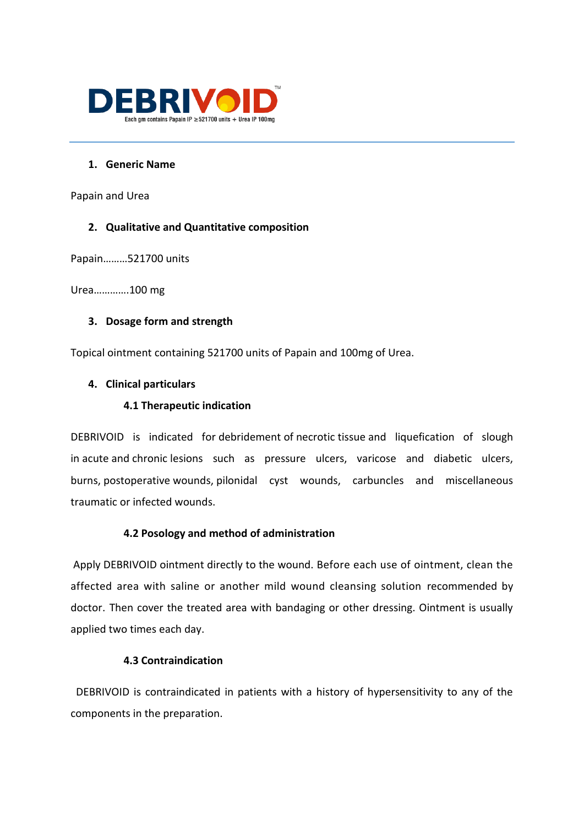

#### **1. Generic Name**

Papain and Urea

## **2. Qualitative and Quantitative composition**

Papain………521700 units

Urea………….100 mg

#### **3. Dosage form and strength**

Topical ointment containing 521700 units of Papain and 100mg of Urea.

## **4. Clinical particulars**

## **4.1 Therapeutic indication**

DEBRIVOID is indicated for [debridement](https://www.rxlist.com/script/main/art.asp?articlekey=40483) of [necrotic](https://www.rxlist.com/script/main/art.asp?articlekey=4515) [tissue](https://www.rxlist.com/script/main/art.asp?articlekey=5800) and liquefication of slough in [acute](https://www.rxlist.com/script/main/art.asp?articlekey=2133) and [chronic](https://www.rxlist.com/script/main/art.asp?articlekey=2728) lesions such as pressure ulcers, varicose and diabetic ulcers, burns, [postoperative](https://www.rxlist.com/script/main/art.asp?articlekey=22187) wounds, [pilonidal cyst wounds, carbuncles and miscellaneous](https://www.rxlist.com/script/main/art.asp?articlekey=4901)  [traumatic or infected wounds.](https://www.rxlist.com/script/main/art.asp?articlekey=4901) 

# **4.2 Posology and method of administration**

Apply DEBRIVOID ointment directly to the wound. Before each use of ointment, clean the affected area with saline or another mild wound cleansing solution recommended by doctor. Then cover the treated area with bandaging or other dressing. Ointment is usually applied two times each day.

## **4.3 Contraindication**

 DEBRIVOID is contraindicated in patients with a history of hypersensitivity to any of the components in the preparation.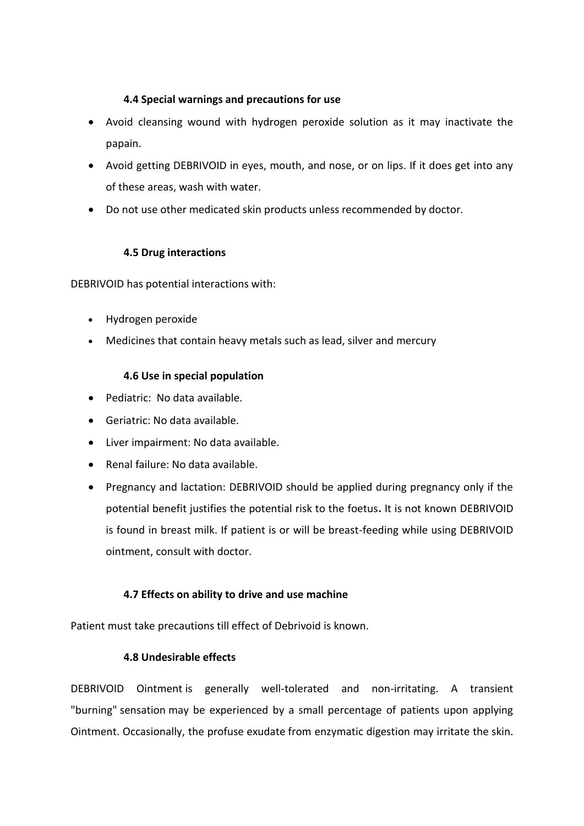## **4.4 Special warnings and precautions for use**

- Avoid cleansing wound with hydrogen peroxide solution as it may inactivate the papain.
- Avoid getting DEBRIVOID in eyes, mouth, and nose, or on lips. If it does get into any of these areas, wash with water.
- Do not use other medicated skin products unless recommended by doctor.

# **4.5 Drug interactions**

DEBRIVOID has potential interactions with:

- Hydrogen peroxide
- Medicines that contain heavy metals such as lead, silver and mercury

# **4.6 Use in special population**

- Pediatric: No data available.
- Geriatric: No data available.
- Liver impairment: No data available.
- Renal failure: No data available.
- Pregnancy and lactation: DEBRIVOID should be applied during pregnancy only if the potential benefit justifies the potential risk to the foetus**.** It is not known DEBRIVOID is found in breast milk. If patient is or will be breast-feeding while using DEBRIVOID ointment, consult with doctor.

# **4.7 Effects on ability to drive and use machine**

Patient must take precautions till effect of Debrivoid is known.

# **4.8 Undesirable effects**

DEBRIVOID [Ointment](https://www.rxlist.com/script/main/art.asp?articlekey=4623) is generally well-tolerated and non-irritating. A transient "burning" [sensation](https://www.rxlist.com/script/main/art.asp?articlekey=15731) may be experienced by a small percentage of patients upon applying Ointment. Occasionally, the profuse [exudate](https://www.rxlist.com/script/main/art.asp?articlekey=9900) from enzymatic digestion may irritate the [skin.](https://www.rxlist.com/script/main/art.asp?articlekey=7901)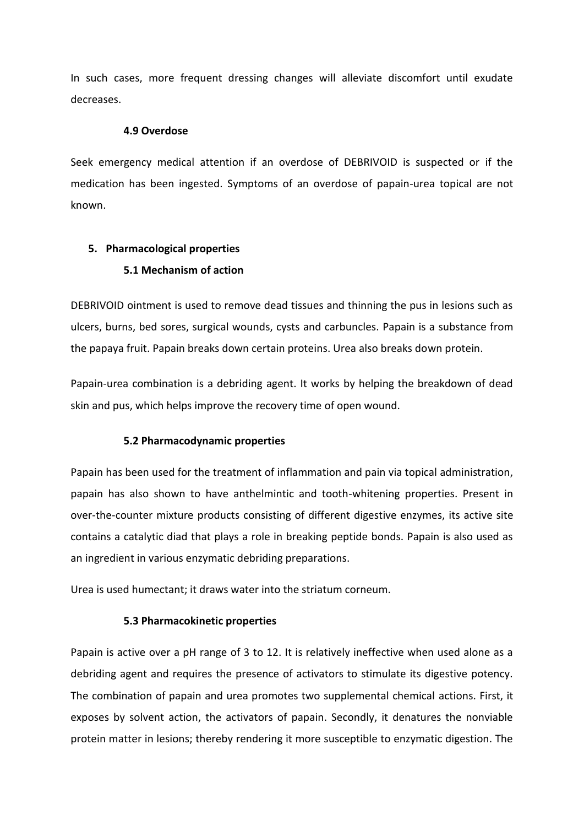In such cases, more frequent dressing changes will alleviate discomfort until exudate decreases.

#### **4.9 Overdose**

Seek emergency medical attention if an overdose of DEBRIVOID is suspected or if the medication has been ingested. Symptoms of an overdose of papain-urea topical are not known.

# **5. Pharmacological properties**

## **5.1 Mechanism of action**

DEBRIVOID ointment is used to remove dead tissues and thinning the pus in lesions such as ulcers, burns, bed sores, surgical wounds, cysts and carbuncles. Papain is a substance from the papaya fruit. Papain breaks down certain proteins. Urea also breaks down protein.

Papain-urea combination is a debriding agent. It works by helping the breakdown of dead skin and pus, which helps improve the recovery time of open wound.

#### **5.2 Pharmacodynamic properties**

Papain has been used for the treatment of inflammation and pain via topical administration, papain has also shown to have anthelmintic and tooth-whitening properties. Present in over-the-counter mixture products consisting of different digestive enzymes, its active site contains a catalytic diad that plays a role in breaking peptide bonds. Papain is also used as an ingredient in various enzymatic debriding preparations.

Urea is used humectant; it draws water into the striatum corneum.

#### **5.3 Pharmacokinetic properties**

Papain is active over a pH range of 3 to 12. It is relatively ineffective when used alone as a debriding agent and requires the presence of activators to stimulate its digestive potency. The combination of papain and urea promotes two supplemental chemical actions. First, it exposes by solvent action, the activators of papain. Secondly, it denatures the nonviable protein matter in lesions; thereby rendering it more susceptible to enzymatic digestion. The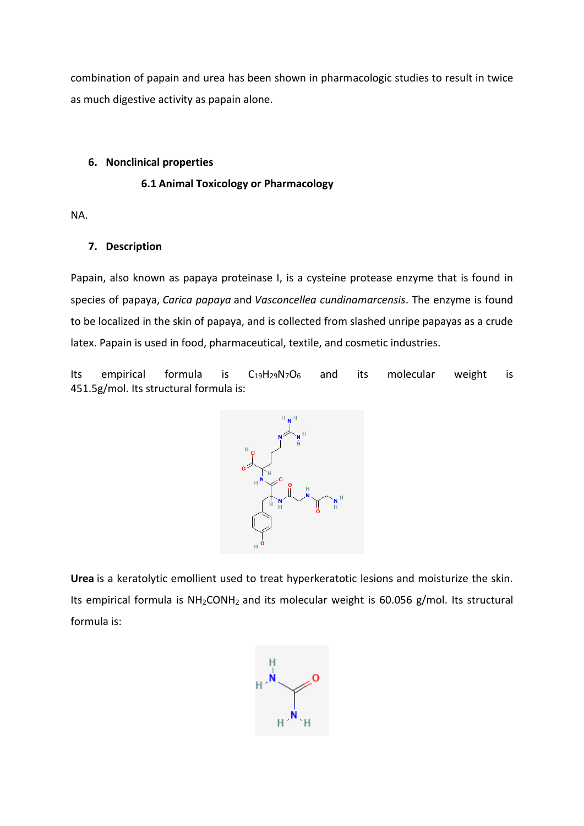combination of papain and urea has been shown in pharmacologic studies to result in twice as much digestive activity as papain alone.

## **6. Nonclinical properties**

## **6.1 Animal Toxicology or Pharmacology**

NA.

# **7. Description**

Papain, also known as papaya proteinase I, is a cysteine protease enzyme that is found in species of papaya, *Carica papaya* and *Vasconcellea cundinamarcensis*. The enzyme is found to be localized in the skin of papaya, and is collected from slashed unripe papayas as a crude latex. Papain is used in food, pharmaceutical, textile, and cosmetic industries.

Its empirical formula is  $C_{19}H_{29}N_7O_6$  $C_{19}H_{29}N_7O_6$  and its molecular weight is 451.5g/mol. Its structural formula is:



**Urea** is a keratolytic emollient used to treat hyperkeratotic lesions and moisturize the skin. Its empirical formula is NH<sub>2</sub>CONH<sub>2</sub> and its molecular weight is 60.056 g/mol. Its structural formula is:

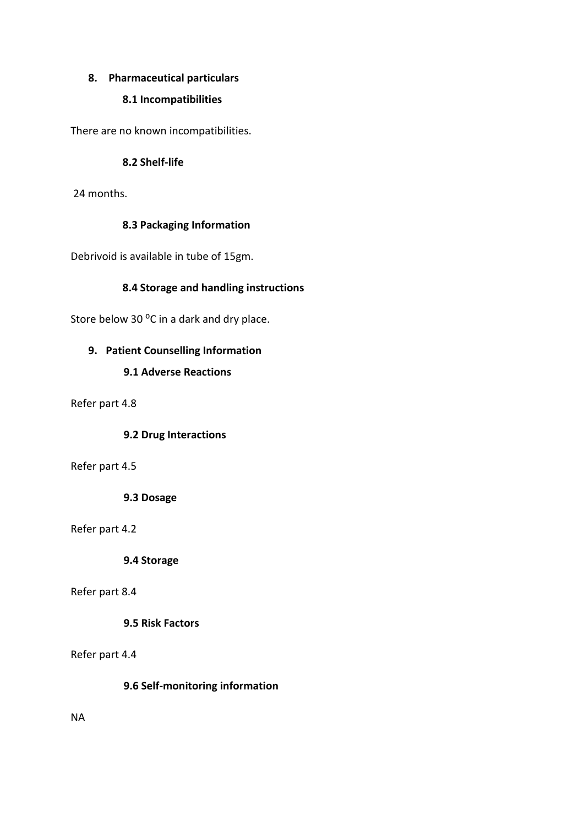# **8. Pharmaceutical particulars**

# **8.1 Incompatibilities**

There are no known incompatibilities.

## **8.2 Shelf-life**

24 months.

## **8.3 Packaging Information**

Debrivoid is available in tube of 15gm.

# **8.4 Storage and handling instructions**

Store below 30 °C in a dark and dry place.

# **9. Patient Counselling Information**

## **9.1 Adverse Reactions**

Refer part 4.8

#### **9.2 Drug Interactions**

#### Refer part 4.5

**9.3 Dosage**

#### Refer part 4.2

**9.4 Storage**

#### Refer part 8.4

# **9.5 Risk Factors**

#### Refer part 4.4

# **9.6 Self-monitoring information**

NA